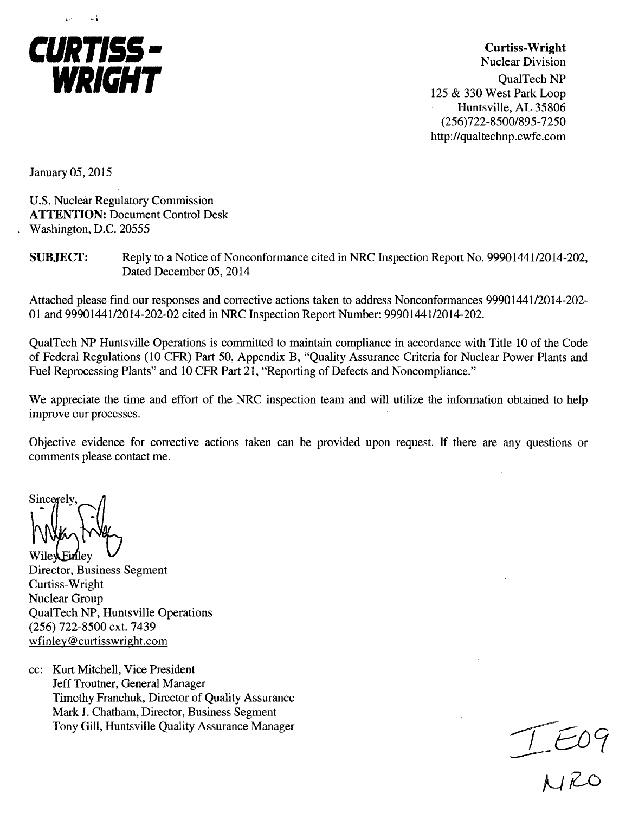

Curtiss-Wright Nuclear Division QualTech NP 125 & 330 West Park Loop Huntsville, AL 35806 (256)722-8500/895-7250 http://qualtechnp.cwfc.com

January 05, 2015

U.S. Nuclear Regulatory Commission ATTENTION: Document Control Desk Washington, D.C. 20555

**SUBJECT:** Reply to a Notice of Nonconformance cited in NRC Inspection Report No. 99901441/2014-202, Dated December 05, 2014

Attached please find our responses and corrective actions taken to address Nonconformances 99901441/2014-202- 01 and 99901441/2014-202-02 cited in NRC Inspection Report Number: 99901441/2014-202.

QualTech NP Huntsville Operations is committed to maintain compliance in accordance with Title 10 of the Code of Federal Regulations (10 CFR) Part 50, Appendix B, "Quality Assurance Criteria for Nuclear Power Plants and Fuel Reprocessing Plants" and 10 CFR Part 21, "Reporting of Defects and Noncompliance."

We appreciate the time and effort of the NRC inspection team and will utilize the information obtained to help improve our processes.

Objective evidence for corrective actions taken can be provided upon request. If there are any questions or comments please contact me.

Sincerely

Wile Einley Director, Business Segment Curtiss-Wright Nuclear Group QualTech NP, Huntsville Operations (256) 722-8500 ext. 7439 wfinley@curtisswright.com

cc: Kurt Mitchell, Vice President Jeff Troutner, General Manager Timothy Franchuk, Director of Quality Assurance Mark J. Chatham, Director, Business Segment Tony Gill, Huntsville Quality Assurance Manager

 $-1$  $\epsilon$ 0  $MRC$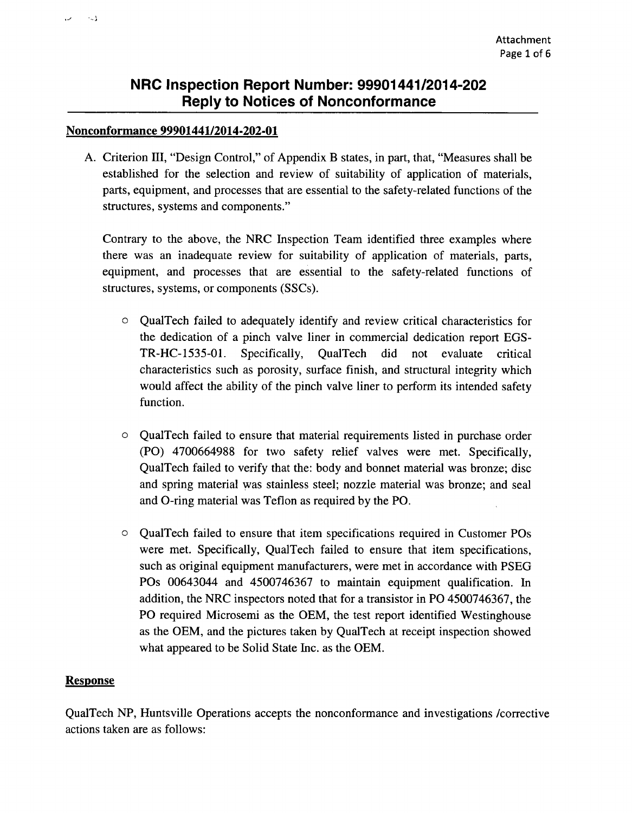### Nonconformance 99901441/2014-202-01

 $\sim$ 

A. Criterion 1II, "Design Control," of Appendix B states, in part, that, "Measures shall be established for the selection and review of suitability of application of materials, parts, equipment, and processes that are essential to the safety-related functions of the structures, systems and components."

Contrary to the above, the NRC Inspection Team identified three examples where there was an inadequate review for suitability of application of materials, parts, equipment, and processes that are essential to the safety-related functions of structures, systems, or components (SSCs).

- o QualTech failed to adequately identify and review critical characteristics for the dedication of a pinch valve liner in commercial dedication report EGS-TR-HC-1535-01. Specifically, QualTech did not evaluate critical characteristics such as porosity, surface finish, and structural integrity which would affect the ability of the pinch valve liner to perform its intended safety function.
- o QualTech failed to ensure that material requirements listed in purchase order (PO) 4700664988 for two safety relief valves were met. Specifically, QualTech failed to verify that the: body and bonnet material was bronze; disc and spring material was stainless steel; nozzle material was bronze; and seal and O-ring material was Teflon as required by the PO.
- o QualTech failed to ensure that item specifications required in Customer POs were met. Specifically, QualTech failed to ensure that item specifications, such as original equipment manufacturers, were met in accordance with PSEG POs 00643044 and 4500746367 to maintain equipment qualification. In addition, the NRC inspectors noted that for a transistor in PO 4500746367, the PO required Microsemi as the OEM, the test report identified Westinghouse as the OEM, and the pictures taken by QualTech at receipt inspection showed what appeared to be Solid State Inc. as the OEM.

## Response

QualTech NP, Huntsville Operations accepts the nonconformance and investigations /corrective actions taken are as follows: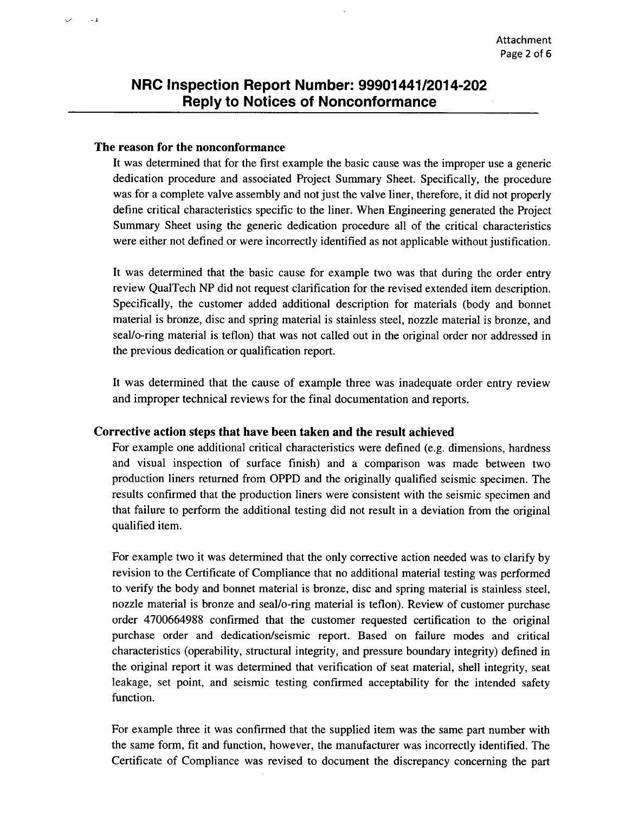#### The reason for the nonconformance

 $\sim$  1

It was determined that for the first example the basic cause was the improper use a generic dedication procedure and associated Project Summary Sheet. Specifically, the procedure was for a complete valve assembly and not just the valve liner, therefore, it did not properly define critical characteristics specific to the liner. When Engineering generated the Project Summary Sheet using the generic dedication procedure all of the critical characteristics were either not defined or were incorrectly identified as not applicable without justification.

It was determined that the basic cause for example two was that during the order entry review QualTech NP did not request clarification for the revised extended item description. Specifically, the customer added additional description for materials (body and bonnet material is bronze, disc and spring material is stainless steel, nozzle material is bronze, and seal/o-ring material is teflon) that was not called out in the original order nor addressed in the previous dedication or qualification report.

It was determined that the cause of example three was inadequate order entry review and improper technical reviews for the final documentation and reports.

### Corrective action steps that have been taken and the result achieved

For example one additional critical characteristics were defined (e.g. dimensions, hardness and visual inspection of surface finish) and a comparison was made between two production liners returned from OPPD and the originally qualified seismic specimen. The results confirmed that the production liners were 'consistent with the seismic specimen and that failure to perform the additional testing did not result in a deviation from the original qualified item.

For example two it was determined that the only corrective action needed was to clarify by revision to the Certificate of Compliance that no additional material testing was performed to verify the body and bonnet material is bronze, disc and spring material is stainless steel, nozzle material is bronze and seal/o-ring material is teflon). Review of customer purchase order 4700664988 confirmed that the customer requested certification to the original purchase order and dedication/seismic report. Based on failure modes and critical characteristics (operability, structural integrity, and pressure boundary integrity) defined in the original report it was determined that verification of seat material, shell integrity, seat leakage, set point, and seismic testing confirmed acceptability for the intended safety function.

For example three it was confirmed that the supplied item was the same part number with the same form, fit and function, however, the manufacturer was incorrectly identified. The Certificate of Compliance was revised to document the discrepancy concerning the part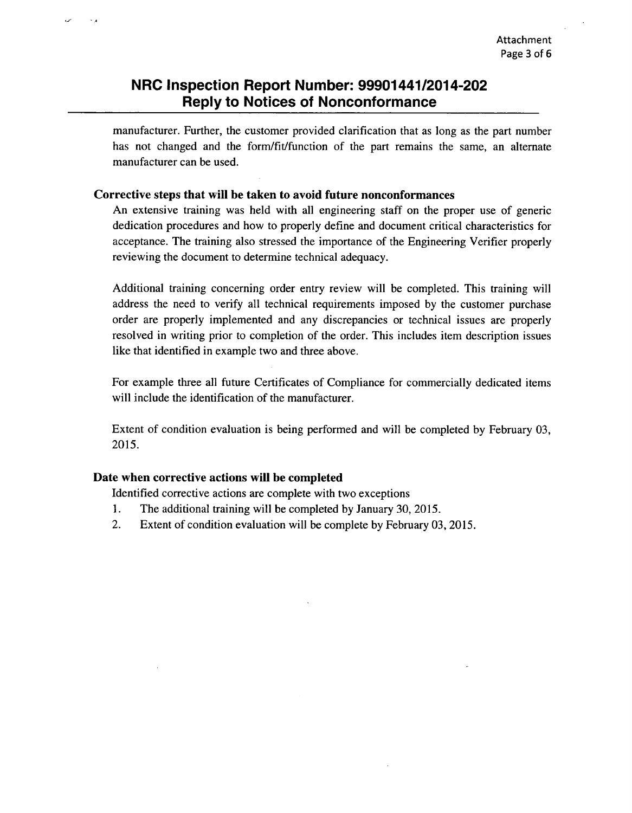manufacturer. Further, the customer provided clarification that as long as the part number has not changed and the form/fit/function of the part remains the same, an alternate manufacturer can be used.

#### Corrective steps that will be taken to avoid future nonconformances

An extensive training was held with all engineering staff on the proper use of generic dedication procedures and how to properly define and document critical characteristics for acceptance. The training also stressed the importance of the Engineering Verifier properly reviewing the document to determine technical adequacy.

Additional training concerning order entry review will be completed. This training will address the need to verify all technical requirements imposed **by** the customer purchase order are properly implemented and any discrepancies or technical issues are properly resolved in writing prior to completion of the order. This includes item description issues like that identified in example two and three above.

For example three all future Certificates of Compliance for commercially dedicated items will include the identification of the manufacturer.

Extent of condition evaluation is being performed and will be completed **by** February **03, 2015.**

### Date when corrective actions will be completed

Identified corrective actions are complete with two exceptions

- **I .** The additional training will be completed **by** January **30, 2015.**
- 2. Extent of condition evaluation will be complete **by** February **03, 2015.**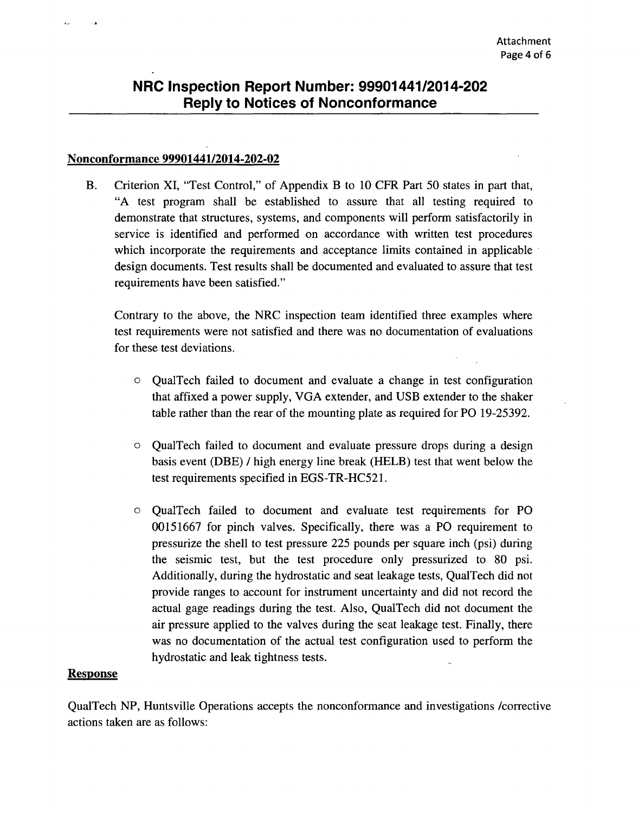#### Nonconformance 99901441/2014-202-02

B. Criterion XI, "Test Control," of Appendix B to 10 CFR Part 50 states in part that, "A test program shall be established to assure that all testing required to demonstrate that structures, systems, and components will perform satisfactorily in service is identified and performed on accordance with written test procedures which incorporate the requirements and acceptance limits contained in applicable design documents. Test results shall be documented and evaluated to assure that test requirements have been satisfied."

Contrary to the above, the NRC inspection team identified three examples where test requirements were not satisfied and there was no documentation of evaluations for these test deviations.

- o QualTech failed to document and evaluate a change in test configuration that affixed a power supply, VGA extender, and USB extender to the shaker table rather than the rear of the mounting plate as required for PO 19-25392.
- o QualTech failed to document and evaluate pressure drops during a design basis event (DBE) / high energy line break (HELB) test that went below the test requirements specified in EGS-TR-HC52 1.
- o QualTech failed to document and evaluate test requirements for PO 00151667 for pinch valves. Specifically, there was a PO requirement to pressurize the shell to test pressure 225 pounds per square inch (psi) during the seismic test, but the test procedure only pressurized to 80 psi. Additionally, during the hydrostatic and seat leakage tests, QualTech did not provide ranges to account for instrument uncertainty and did not record the actual gage readings during the test. Also, QualTech did not document the air pressure applied to the valves during the seat leakage test. Finally, there was no documentation of the actual test configuration used to perform the hydrostatic and leak tightness tests.

#### **Response**

QualTech NP, Huntsville Operations accepts the nonconformance and investigations /corrective actions taken are as follows: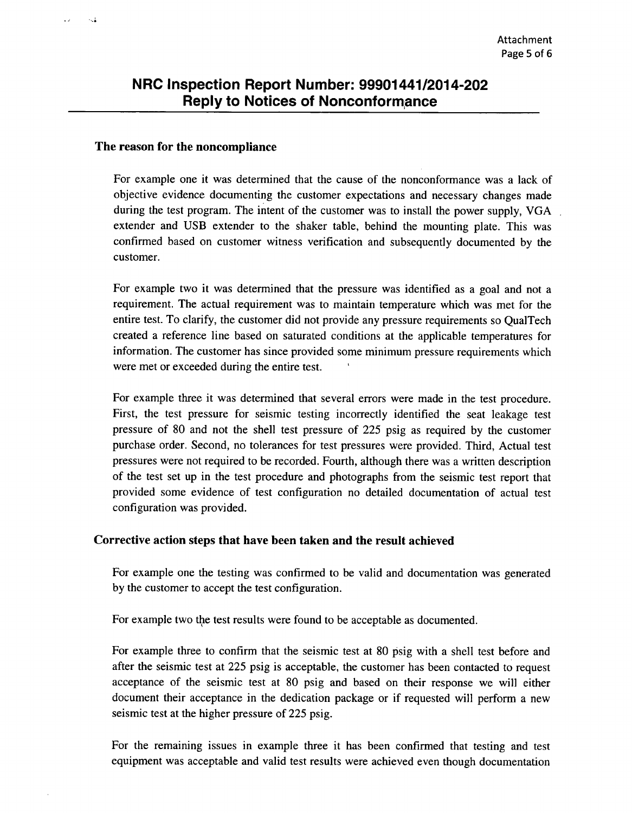#### The reason for the noncompliance

. J

 $\sim 1$ 

For example one it was determined that the cause of the nonconformance was a lack of objective evidence documenting the customer expectations and necessary changes made during the test program. The intent of the customer was to install the power supply, **VGA** extender and **USB** extender to the shaker table, behind the mounting plate. This was confirmed based on customer witness verification and subsequently documented **by** the customer.

For example two it was determined that the pressure was identified as a goal and not a requirement. The actual requirement was to maintain temperature which was met for the entire test. To clarify, the customer did not provide any pressure requirements so QualTech created a reference line based on saturated conditions at the applicable temperatures for information. The customer has since provided some minimum pressure requirements which were met or exceeded during the entire test. **<sup>I</sup>**

For example three it was determined that several errors were made in the test procedure. First, the test pressure for seismic testing incorrectly identified the seat leakage test pressure of **80** and not the shell test pressure of **225** psig as required **by** the customer purchase order. Second, no tolerances for test pressures were provided. Third, Actual test pressures were not required to be recorded. Fourth, although there was a written description of the test set up in the test procedure and photographs from the seismic test report that provided some evidence of test configuration no detailed documentation of actual test configuration was provided.

#### Corrective action steps that have been taken and the result achieved

For example one the testing was confirmed to be valid and documentation was generated **by** the customer to accept the test configuration.

For example two the test results were found to be acceptable as documented.

For example three to confirm that the seismic test at **80** psig with a shell test before and after the seismic test at **225** psig is acceptable, the customer has been contacted to request acceptance of the seismic test at **80** psig and based on their response we will either document their acceptance in the dedication package or if requested will perform a new seismic test at the higher pressure of **225** psig.

For the remaining issues in example three it has been confirmed that testing and test equipment was acceptable and valid test results were achieved even though documentation